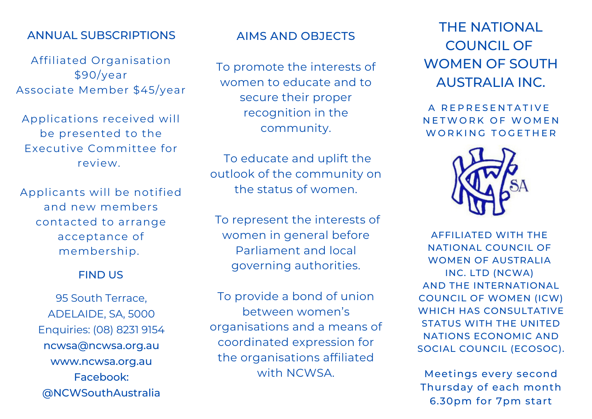# ANNUAL SUBSCRIPTIONS

Affiliated Organisation \$90/year Associate Member \$45/year

Applications received will be presented to the Executive Committee for review.

Applicants will be notified and new members contacted to arrange acceptance of membership.

### FIND US

95 South Terrace, ADELAIDE, SA, 5000 Enquiries: (08) 8231 9154 ncwsa@ncwsa.org.au www.ncwsa.org.au Facebook: @NCWSouthAustralia

# AIMS AND OBJECTS

To promote the interests of women to educate and to secure their proper recognition in the community.

To educate and uplift the outlook of the community on the status of women.

To represent the interests of women in general before Parliament and local governing authorities.

To provide a bond of union between women's organisations and a means of coordinated expression for the organisations affiliated with NCWSA.

THE NATIONAL COUNCIL OF WOMEN OF SOUTH AUSTRALIA INC.

A REPRESENTATIVE N F T W O R K O F W O M F N WORKING TOGETHER



AFFILIATED WITH THE NATIONAL COUNCIL OF WOMEN OF AUSTRALIA INC. LTD (NCWA) AND THE INTERNATIONAL COUNCIL OF WOMEN (ICW) WHICH HAS CONSULTATIVE STATUS WITH THE UNITED NATIONS ECONOMIC AND SOCIAL COUNCIL (ECOSOC).

Meetings every second Thursday of each month 6.30pm for 7pm start